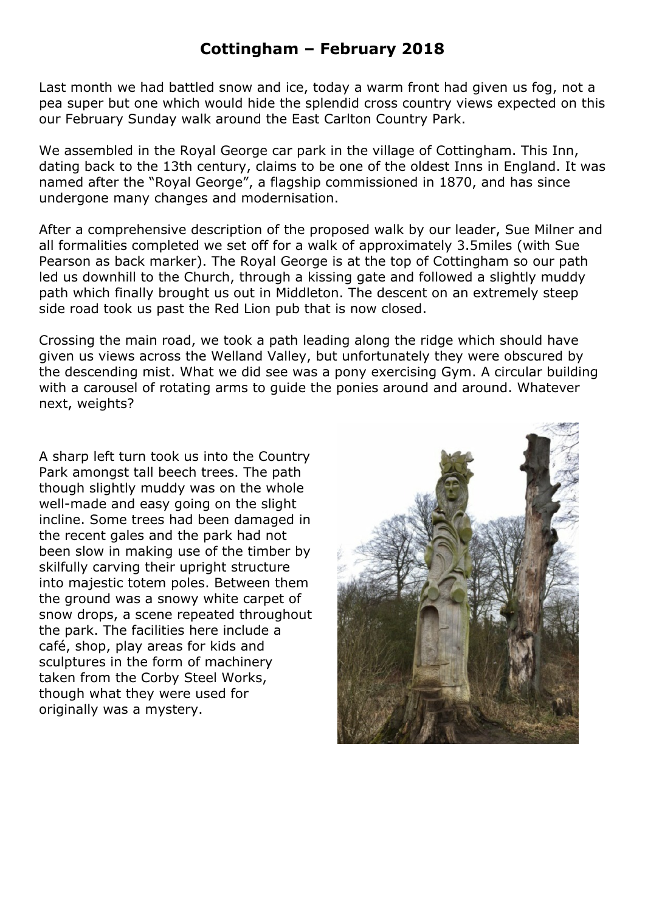## **Cottingham – February 2018**

Last month we had battled snow and ice, today a warm front had given us fog, not a pea super but one which would hide the splendid cross country views expected on this our February Sunday walk around the East Carlton Country Park.

We assembled in the Royal George car park in the village of Cottingham. This Inn, dating back to the 13th century, claims to be one of the oldest Inns in England. It was named after the "Royal George", a flagship commissioned in 1870, and has since undergone many changes and modernisation.

After a comprehensive description of the proposed walk by our leader, Sue Milner and all formalities completed we set off for a walk of approximately 3.5miles (with Sue Pearson as back marker). The Royal George is at the top of Cottingham so our path led us downhill to the Church, through a kissing gate and followed a slightly muddy path which finally brought us out in Middleton. The descent on an extremely steep side road took us past the Red Lion pub that is now closed.

Crossing the main road, we took a path leading along the ridge which should have given us views across the Welland Valley, but unfortunately they were obscured by the descending mist. What we did see was a pony exercising Gym. A circular building with a carousel of rotating arms to guide the ponies around and around. Whatever next, weights?

A sharp left turn took us into the Country Park amongst tall beech trees. The path though slightly muddy was on the whole well-made and easy going on the slight incline. Some trees had been damaged in the recent gales and the park had not been slow in making use of the timber by skilfully carving their upright structure into majestic totem poles. Between them the ground was a snowy white carpet of snow drops, a scene repeated throughout the park. The facilities here include a café, shop, play areas for kids and sculptures in the form of machinery taken from the Corby Steel Works, though what they were used for originally was a mystery.